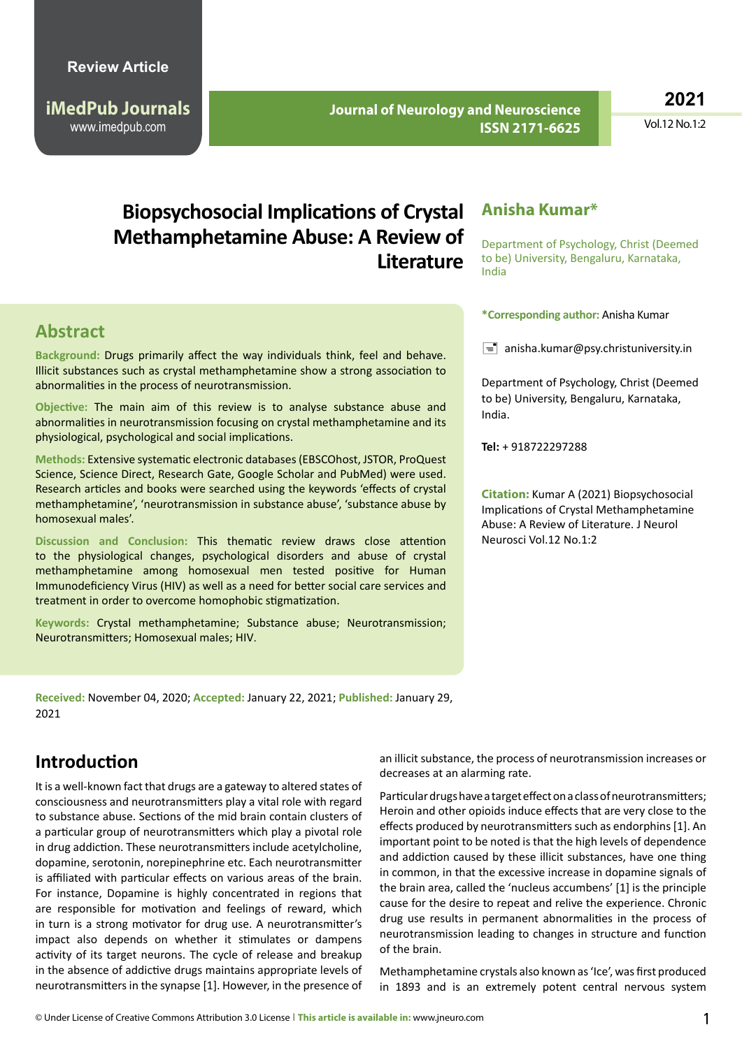**iMedPub Journals** www.imedpub.com

 **Journal of Neurology and Neuroscience ISSN 2171-6625**

**2021**

Vol.12 No.1:2

# **Biopsychosocial Implications of Crystal Methamphetamine Abuse: A Review of Literature**

### **Abstract**

**Background:** Drugs primarily affect the way individuals think, feel and behave. Illicit substances such as crystal methamphetamine show a strong association to abnormalities in the process of neurotransmission.

**Objective:** The main aim of this review is to analyse substance abuse and abnormalities in neurotransmission focusing on crystal methamphetamine and its physiological, psychological and social implications.

**Methods:** Extensive systematic electronic databases (EBSCOhost, JSTOR, ProQuest Science, Science Direct, Research Gate, Google Scholar and PubMed) were used. Research articles and books were searched using the keywords 'effects of crystal methamphetamine', 'neurotransmission in substance abuse', 'substance abuse by homosexual males'.

**Discussion and Conclusion:** This thematic review draws close attention to the physiological changes, psychological disorders and abuse of crystal methamphetamine among homosexual men tested positive for Human Immunodeficiency Virus (HIV) as well as a need for better social care services and treatment in order to overcome homophobic stigmatization.

**Keywords:** Crystal methamphetamine; Substance abuse; Neurotransmission; Neurotransmitters; Homosexual males; HIV.

**Received:** November 04, 2020; **Accepted:** January 22, 2021; **Published:** January 29, 2021

## **Introduction**

It is a well-known fact that drugs are a gateway to altered states of consciousness and neurotransmitters play a vital role with regard to substance abuse. Sections of the mid brain contain clusters of a particular group of neurotransmitters which play a pivotal role in drug addiction. These neurotransmitters include acetylcholine, dopamine, serotonin, norepinephrine etc. Each neurotransmitter is affiliated with particular effects on various areas of the brain. For instance, Dopamine is highly concentrated in regions that are responsible for motivation and feelings of reward, which in turn is a strong motivator for drug use. A neurotransmitter's impact also depends on whether it stimulates or dampens activity of its target neurons. The cycle of release and breakup in the absence of addictive drugs maintains appropriate levels of neurotransmitters in the synapse [1]. However, in the presence of

#### **Anisha Kumar\***

Department of Psychology, Christ (Deemed to be) University, Bengaluru, Karnataka, India

**\*Corresponding author:** Anisha Kumar

 $\equiv$  [anisha.kumar@psy.christuniversity.in](mailto:anisha.kumar@psy.christuniversity.in)

Department of Psychology, Christ (Deemed to be) University, Bengaluru, Karnataka, India.

**Tel:** + 918722297288

**Citation:** Kumar A (2021) Biopsychosocial Implications of Crystal Methamphetamine Abuse: A Review of Literature. J Neurol Neurosci Vol.12 No.1:2

an illicit substance, the process of neurotransmission increases or decreases at an alarming rate.

Particular drugs have a target effect on a class of neurotransmitters; Heroin and other opioids induce effects that are very close to the effects produced by neurotransmitters such as endorphins [1]. An important point to be noted is that the high levels of dependence and addiction caused by these illicit substances, have one thing in common, in that the excessive increase in dopamine signals of the brain area, called the 'nucleus accumbens' [1] is the principle cause for the desire to repeat and relive the experience. Chronic drug use results in permanent abnormalities in the process of neurotransmission leading to changes in structure and function of the brain.

Methamphetamine crystals also known as 'Ice', was first produced in 1893 and is an extremely potent central nervous system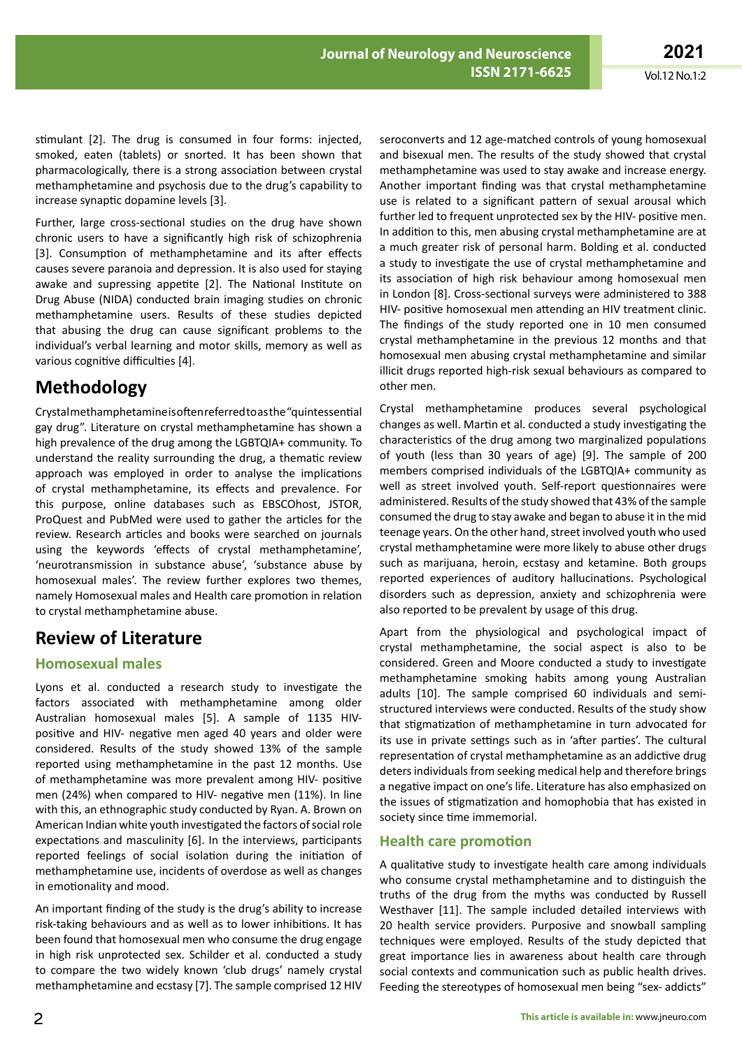stimulant [2]. The drug is consumed in four forms: injected, smoked, eaten (tablets) or snorted. It has been shown that pharmacologically, there is a strong association between crystal methamphetamine and psychosis due to the drug's capability to increase synaptic dopamine levels [3].

Further, large cross-sectional studies on the drug have shown chronic users to have a significantly high risk of schizophrenia [3]. Consumption of methamphetamine and its after effects causes severe paranoia and depression. It is also used for staying awake and supressing appetite [2]. The National Institute on Drug Abuse (NIDA) conducted brain imaging studies on chronic methamphetamine users. Results of these studies depicted that abusing the drug can cause significant problems to the individual's verbal learning and motor skills, memory as well as various cognitive difficulties [4].

## **Methodology**

Crystal methamphetamine is often referred to as the "quintessential gay drug". Literature on crystal methamphetamine has shown a high prevalence of the drug among the LGBTQIA+ community. To understand the reality surrounding the drug, a thematic review approach was employed in order to analyse the implications of crystal methamphetamine, its effects and prevalence. For this purpose, online databases such as EBSCOhost, JSTOR, ProQuest and PubMed were used to gather the articles for the review. Research articles and books were searched on journals using the keywords 'effects of crystal methamphetamine', 'neurotransmission in substance abuse', 'substance abuse by homosexual males'. The review further explores two themes, namely Homosexual males and Health care promotion in relation to crystal methamphetamine abuse.

# **Review of Literature**

#### **Homosexual males**

Lyons et al. conducted a research study to investigate the factors associated with methamphetamine among older Australian homosexual males [5]. A sample of 1135 HIVpositive and HIV- negative men aged 40 years and older were considered. Results of the study showed 13% of the sample reported using methamphetamine in the past 12 months. Use of methamphetamine was more prevalent among HIV- positive men (24%) when compared to HIV- negative men (11%). In line with this, an ethnographic study conducted by Ryan. A. Brown on American Indian white youth investigated the factors of social role expectations and masculinity [6]. In the interviews, participants reported feelings of social isolation during the initiation of methamphetamine use, incidents of overdose as well as changes in emotionality and mood.

An important finding of the study is the drug's ability to increase risk-taking behaviours and as well as to lower inhibitions. It has been found that homosexual men who consume the drug engage in high risk unprotected sex. Schilder et al. conducted a study to compare the two widely known 'club drugs' namely crystal methamphetamine and ecstasy [7]. The sample comprised 12 HIV seroconverts and 12 age-matched controls of young homosexual and bisexual men. The results of the study showed that crystal methamphetamine was used to stay awake and increase energy. Another important finding was that crystal methamphetamine use is related to a significant pattern of sexual arousal which further led to frequent unprotected sex by the HIV- positive men. In addition to this, men abusing crystal methamphetamine are at a much greater risk of personal harm. Bolding et al. conducted a study to investigate the use of crystal methamphetamine and its association of high risk behaviour among homosexual men in London [8]. Cross-sectional surveys were administered to 388 HIV- positive homosexual men attending an HIV treatment clinic. The findings of the study reported one in 10 men consumed crystal methamphetamine in the previous 12 months and that homosexual men abusing crystal methamphetamine and similar illicit drugs reported high-risk sexual behaviours as compared to other men.

Crystal methamphetamine produces several psychological changes as well. Martin et al. conducted a study investigating the characteristics of the drug among two marginalized populations of youth (less than 30 years of age) [9]. The sample of 200 members comprised individuals of the LGBTQIA+ community as well as street involved youth. Self-report questionnaires were administered. Results of the study showed that 43% of the sample consumed the drug to stay awake and began to abuse it in the mid teenage years. On the other hand, street involved youth who used crystal methamphetamine were more likely to abuse other drugs such as marijuana, heroin, ecstasy and ketamine. Both groups reported experiences of auditory hallucinations. Psychological disorders such as depression, anxiety and schizophrenia were also reported to be prevalent by usage of this drug.

Apart from the physiological and psychological impact of crystal methamphetamine, the social aspect is also to be considered. Green and Moore conducted a study to investigate methamphetamine smoking habits among young Australian adults [10]. The sample comprised 60 individuals and semistructured interviews were conducted. Results of the study show that stigmatization of methamphetamine in turn advocated for its use in private settings such as in 'after parties'. The cultural representation of crystal methamphetamine as an addictive drug deters individuals from seeking medical help and therefore brings a negative impact on one's life. Literature has also emphasized on the issues of stigmatization and homophobia that has existed in society since time immemorial.

#### **Health care promotion**

A qualitative study to investigate health care among individuals who consume crystal methamphetamine and to distinguish the truths of the drug from the myths was conducted by Russell Westhaver [11]. The sample included detailed interviews with 20 health service providers. Purposive and snowball sampling techniques were employed. Results of the study depicted that great importance lies in awareness about health care through social contexts and communication such as public health drives. Feeding the stereotypes of homosexual men being "sex- addicts"